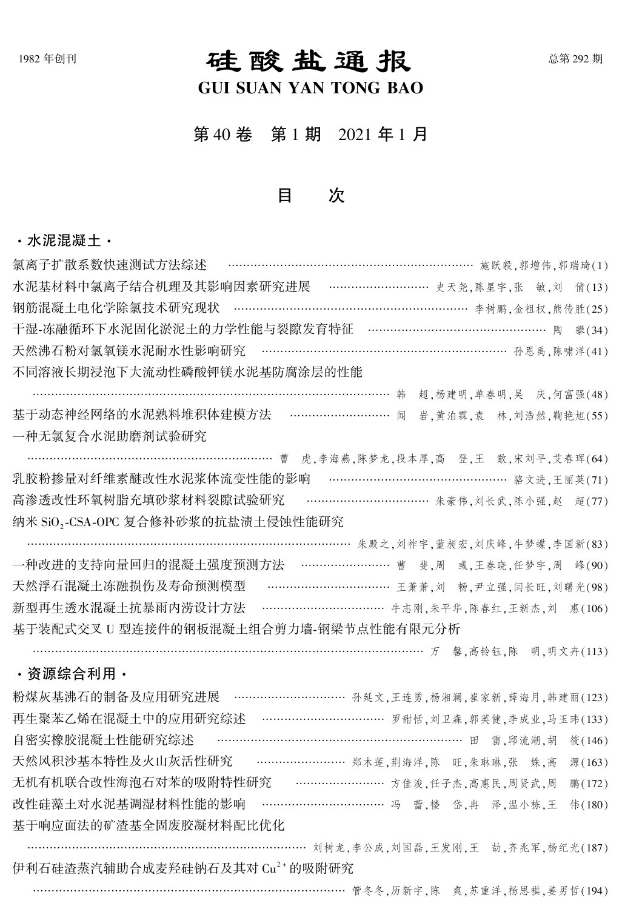# 1982年创刊 在南京 1000 石主西 西美 1000 主 1000 元 1000 主 1000 主 1000 主 1000 主 1000 主 1000 主 1000 主 1000 主 1000 主 1000 主 100

## GUI SUAN YAN TONG BAO

第 40 卷 第 1 期 2021 年 1 月

### 目 次

#### ·水泥混凝土·

| ………………………………………………………… 施跃毅,郭增伟,郭瑞琦(1)<br>氯离子扩散系数快速测试方法综述               |
|------------------------------------------------------------------------|
| 水泥基材料中氯离子结合机理及其影响因素研究进展 ………………………… 史天尧,陈星宇,张 敏,刘 倩(13)                 |
| 钢筋混凝土电化学除氯技术研究现状 ……………………………………………………… 李树鹏,金祖权,熊传胜(25)                 |
| 干湿-冻融循环下水泥固化淤泥土的力学性能与裂隙发育特征 ………………………………………… 陶 拳(34)                   |
| 天然沸石粉对氯氧镁水泥耐水性影响研究 ……………………………………………………… 孙恩禹,陈啸洋(41)                   |
| 不同溶液长期浸泡下大流动性磷酸钾镁水泥基防腐涂层的性能                                            |
| 超,杨建明,单春明,吴 庆,何富强(48)                                                  |
| 基于动态神经网络的水泥熟料堆积体建模方法 ……………………… 闻<br>岩,黄泊霖,袁 林,刘浩然,鞠艳旭(55)              |
| 一种无氯复合水泥助磨剂试验研究                                                        |
| ………………………………………………………… 曹<br>虎,李海燕,陈梦龙,段本厚,高登,王敢,宋刘平,艾春珲(64)            |
| ………………………………………… 骆文进,王丽英(71)<br>乳胶粉掺量对纤维素醚改性水泥浆体流变性能的影响                |
| ……………………………… 朱豪伟, 刘长武, 陈小强, 赵 超(77)<br>高渗透改性环氧树脂充填砂浆材料裂隙试验研究           |
| 纳米 SiO,-CSA-OPC 复合修补砂浆的抗盐渍土侵蚀性能研究                                      |
| ………………………………………………………………………………………………… 朱殿之, 刘祚宇, 董昶宏, 刘庆峰, 牛梦蝶, 李国新(83) |
| 一种改进的支持向量回归的混凝土强度预测方法 …………………… 曹 斐,周 彧,王春晓,任梦宇,周 峰(90)                 |
| 天然浮石混凝土冻融损伤及寿命预测模型 ……………………………… 王萧萧,刘 畅,尹立强,闫长旺,刘曙光(98)                |
| ……………………………… 牛志刚,朱平华,陈春红,王新杰,刘<br>新型再生透水混凝土抗暴雨内涝设计方法<br>惠(106)         |
| 基于装配式交叉 U 型连接件的钢板混凝土组合剪力墙-钢梁节点性能有限元分析                                  |
| …………………………………………………………………………………………万 馨,高铃钰,陈 明,明文卉(113)                 |
| ・资源综合利用・                                                               |
| 粉煤灰基沸石的制备及应用研究进展 ………………………… 孙延文,王连勇,杨湘澜,崔家新,薛海月,韩建丽(123)               |
| 再生聚苯乙烯在混凝土中的应用研究综述 …………………………… 罗甜恬, 刘卫森, 郭英健, 李成业, 马玉玮(133)            |
| …………………………………………………………… 田 雷, 邱流潮, 胡<br>自密实橡胶混凝土性能研究综述<br>筱(146)        |
| …………………… 郑木莲,荆海洋,陈 旺,朱琳琳,张 姝,高<br>天然风积沙基本特性及火山灰活性研究<br>源(163)          |
| 无机有机联合改性海泡石对苯的吸附特性研究 ……………………… 方佳浚,任子杰,高惠民,周贤武,周<br>鹏(172)             |
| ……………………………… 冯 蕾,楼 岱,冉 泽,温小栋,王<br>改性硅藻土对水泥基调湿材料性能的影响<br>#(180)         |
| 基于响应面法的矿渣基全固废胶凝材料配比优化                                                  |
| 刘树龙,李公成,刘国磊,王发刚,王<br>劼,齐兆军,杨纪光(187)                                    |
| 伊利石硅渣蒸汽辅助合成麦羟硅钠石及其对 Cu <sup>2+</sup> 的吸附研究                             |

………………………………………………………………………… 管冬冬,历新宇,陈 爽,苏重洋,杨思祺,姜男哲(194)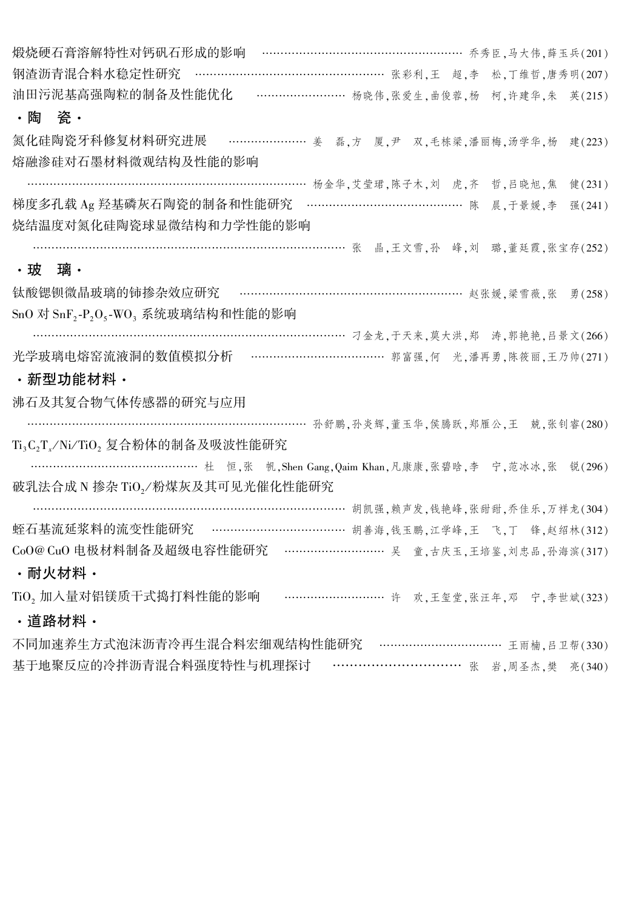煅烧硬石膏溶解特性对钙矾石形成的影响 ……………………………………………… 乔秀臣,马大伟,薛玉兵(201) 钢渣沥青混合料水稳定性研究 ………………………………………………… 张彩利,王 超,李 松,丁维哲,唐秀明(207) 油田污泥基高强陶粒的制备及性能优化 …………………… 杨晓伟,张爱生,曲俊蓉,杨 柯,许建华,朱 英(215) ·陶 瓷· 氮化硅陶瓷牙科修复材料研究进展 ………………… 姜 磊,方 厦,尹 双,毛栋梁,潘丽梅,汤学华,杨 建(223) 熔融渗硅对石墨材料微观结构及性能的影响 ………………………………………………………………… 杨金华,艾莹珺,陈子木,刘 虎,齐 哲,吕晓旭,焦 健(231) 梯度多孔载 Ag 羟基磷灰石陶瓷的制备和性能研究 …………………………………… 陈 晨,于景媛,李 强(241) 烧结温度对氮化硅陶瓷球显微结构和力学性能的影响 …………………………………………………………………………… 张 晶,王文雪,孙 峰,刘 璐,董廷霞,张宝存(252) ·玻 璃· 钛酸锶钡微晶玻璃的铈掺杂效应研究 ………………………………………………………………… 赵张媛,梁雪薇,张 勇(258)  $\mathrm{SnO}$  对  $\mathrm{SnF}_2\text{-}P_2\mathrm{O}_5\text{-} \mathrm{WO}_3$  系统玻璃结构和性能的影响 ………………………………………………………………………… 刁金龙,于天来,莫大洪,郑 涛,郭艳艳,吕景文(266) 光学玻璃电熔窑流液洞的数值模拟分析 ……………………………………… 郭富强,何 光,潘再勇,陈筱丽,王乃帅(271) ·新型功能材料· 沸石及其复合物气体传感器的研究与应用 …………………………………………………………………… 孙舒鹏,孙炎辉,董玉华,侯腾跃,郑雁公,王 兢,张钊睿(280) Ti<sub>3</sub>C<sub>2</sub>T<sub>x</sub>/Ni/TiO<sub>2</sub> 复合粉体的制备及吸波性能研究 ……………………………………… 杜 恒, 张 帆, Shen Gang, Qaim Khan, 凡康康, 张碧晗, 李 宁, 范冰冰, 张 锐(296) 破乳法合成 N 掺杂 TiO<sub>2</sub>/粉煤灰及其可见光催化性能研究 …………………………………………………………………………… 胡凯强,赖声发,钱艳峰,张甜甜,乔佳乐,万祥龙(304) 蛭石基流延浆料的流变性能研究 ……………………………… 胡善海,钱玉鹏,江学峰,王 飞,丁 锋,赵绍林(312) CoO@ CuO 电极材料制备及超级电容性能研究 ……………………… 吴 童,古庆玉,王培鉴,刘忠品,孙海滨(317) ·耐火材料· TiO, 加入量对铝镁质干式捣打料性能的影响 ………………………… 许 欢,王玺堂,张汪年,邓 宁,李世斌(323) ·道路材料· 不同加速养生方式泡沫沥青冷再生混合料宏细观结构性能研究 …………………………… 王雨楠,吕卫帮(330) 基于地聚反应的冷拌沥青混合料强度特性与机理探讨 ………………………… 张 岩,周圣杰,樊 亮(340)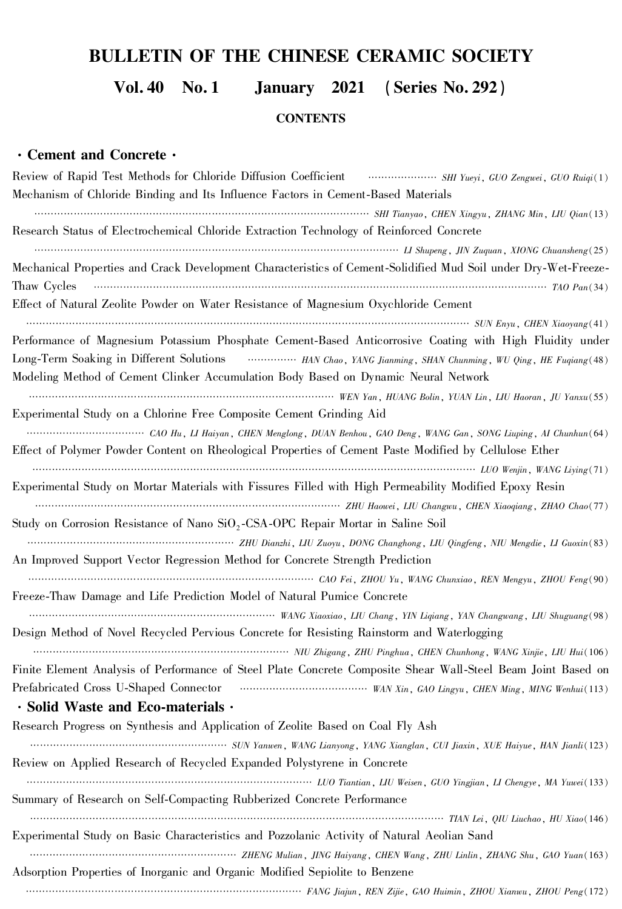# BULLETIN OF THE CHINESE CERAMIC SOCIETY

Vol. 40 No. 1 January 2021 (Series No. 292)

**CONTENTS** 

#### ·Cement and Concrete·

| Review of Rapid Test Methods for Chloride Diffusion Coefficient <b>Coefficient</b> SHI Yueyi, GUO Zengwei, GUO Ruiqi(1) |
|-------------------------------------------------------------------------------------------------------------------------|
| Mechanism of Chloride Binding and Its Influence Factors in Cement-Based Materials                                       |
| SHI Tianyao, CHEN Xingyu, ZHANG Min, LIU Qian(13)                                                                       |
| Research Status of Electrochemical Chloride Extraction Technology of Reinforced Concrete                                |
|                                                                                                                         |
| Mechanical Properties and Crack Development Characteristics of Cement-Solidified Mud Soil under Dry-Wet-Freeze-         |
| Thaw Cycles                                                                                                             |
| Effect of Natural Zeolite Powder on Water Resistance of Magnesium Oxychloride Cement                                    |
|                                                                                                                         |
| Performance of Magnesium Potassium Phosphate Cement-Based Anticorrosive Coating with High Fluidity under                |
| Long-Term Soaking in Different Solutions <b>Fig. 10.13 Chao, YANG Jianming</b> , SHAN Chunming, WU Qing, HE Fuqiang(48) |
| Modeling Method of Cement Clinker Accumulation Body Based on Dynamic Neural Network                                     |
| WEN Yan, HUANG Bolin, YUAN Lin, LIU Haoran, JU Yanxu(55)                                                                |
| Experimental Study on a Chlorine Free Composite Cement Grinding Aid                                                     |
|                                                                                                                         |
| Effect of Polymer Powder Content on Rheological Properties of Cement Paste Modified by Cellulose Ether                  |
|                                                                                                                         |
| Experimental Study on Mortar Materials with Fissures Filled with High Permeability Modified Epoxy Resin                 |
|                                                                                                                         |
| Study on Corrosion Resistance of Nano SiO <sub>2</sub> -CSA-OPC Repair Mortar in Saline Soil                            |
|                                                                                                                         |
| An Improved Support Vector Regression Method for Concrete Strength Prediction                                           |
|                                                                                                                         |
| Freeze-Thaw Damage and Life Prediction Model of Natural Pumice Concrete                                                 |
| WANG Xiaoxiao, LIU Chang, YIN Liqiang, YAN Changwang, LIU Shuguang(98)                                                  |
| Design Method of Novel Recycled Pervious Concrete for Resisting Rainstorm and Waterlogging                              |
|                                                                                                                         |
| Finite Element Analysis of Performance of Steel Plate Concrete Composite Shear Wall-Steel Beam Joint Based on           |
| Prefabricated Cross U-Shaped Connector (Manuscritter WAN Xin, GAO Lingyu, CHEN Ming, MING Wenhui(113)                   |
| · Solid Waste and Eco-materials ·                                                                                       |
| Research Progress on Synthesis and Application of Zeolite Based on Coal Fly Ash                                         |
|                                                                                                                         |
| Review on Applied Research of Recycled Expanded Polystyrene in Concrete                                                 |
|                                                                                                                         |
| Summary of Research on Self-Compacting Rubberized Concrete Performance                                                  |
|                                                                                                                         |
| Experimental Study on Basic Characteristics and Pozzolanic Activity of Natural Aeolian Sand                             |
|                                                                                                                         |
| Adsorption Properties of Inorganic and Organic Modified Sepiolite to Benzene                                            |
| TANG Jiajun, REN Zijie, GAO Huimin, ZHOU Xianwu, ZHOU Peng(172)                                                         |